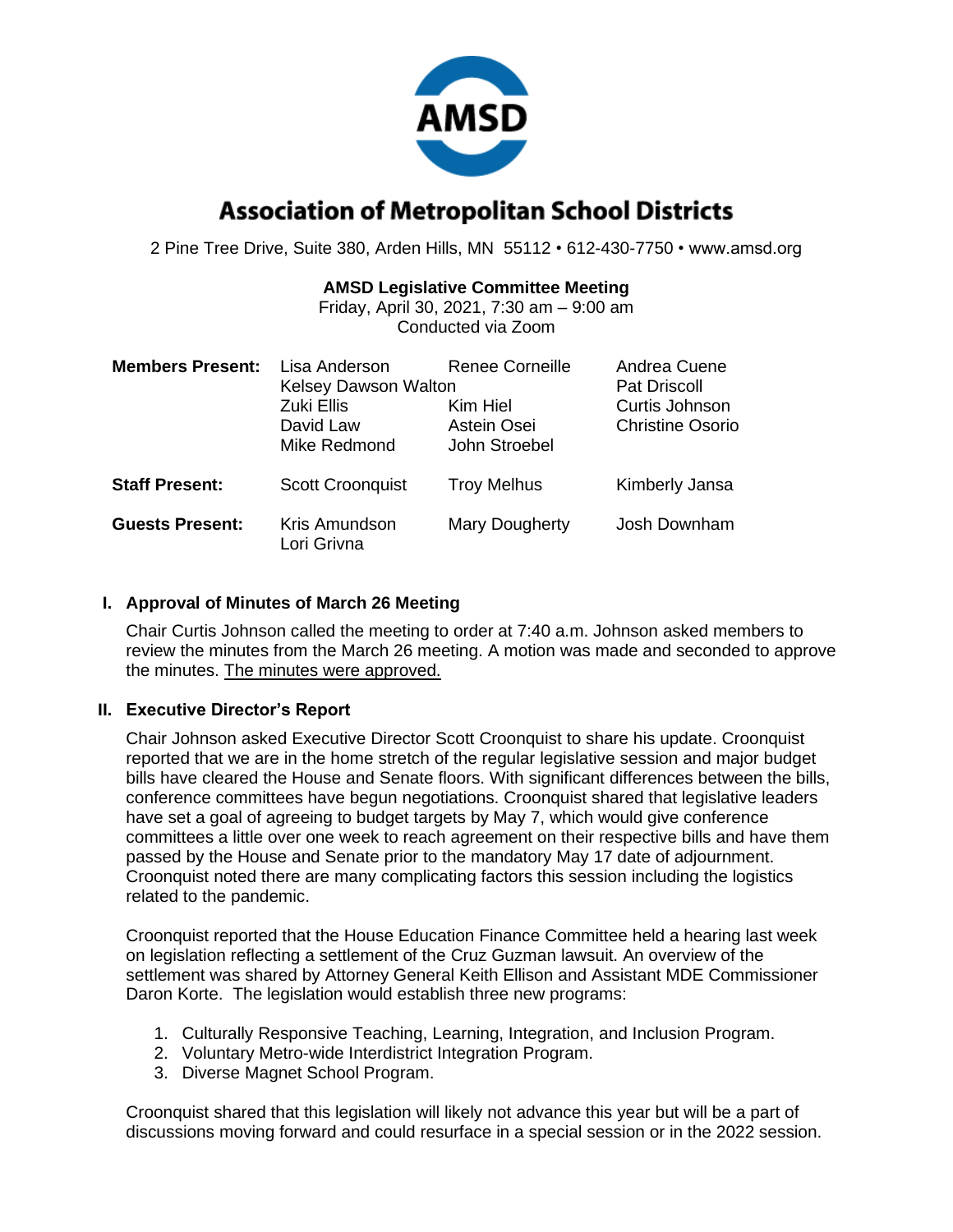

# **Association of Metropolitan School Districts**

2 Pine Tree Drive, Suite 380, Arden Hills, MN 55112 • 612-430-7750 • www.amsd.org

#### **AMSD Legislative Committee Meeting**

Friday, April 30, 2021, 7:30 am – 9:00 am Conducted via Zoom

| <b>Members Present:</b> | Lisa Anderson<br><b>Kelsey Dawson Walton</b><br>Zuki Ellis<br>David Law<br>Mike Redmond | <b>Renee Corneille</b><br>Kim Hiel<br>Astein Osei<br>John Stroebel | Andrea Cuene<br><b>Pat Driscoll</b><br>Curtis Johnson<br><b>Christine Osorio</b> |
|-------------------------|-----------------------------------------------------------------------------------------|--------------------------------------------------------------------|----------------------------------------------------------------------------------|
| <b>Staff Present:</b>   | <b>Scott Croonquist</b>                                                                 | <b>Troy Melhus</b>                                                 | Kimberly Jansa                                                                   |
| <b>Guests Present:</b>  | Kris Amundson<br>Lori Grivna                                                            | Mary Dougherty                                                     | Josh Downham                                                                     |

#### **I. Approval of Minutes of March 26 Meeting**

Chair Curtis Johnson called the meeting to order at 7:40 a.m. Johnson asked members to review the minutes from the March 26 meeting. A motion was made and seconded to approve the minutes. The minutes were approved.

#### **II. Executive Director's Report**

Chair Johnson asked Executive Director Scott Croonquist to share his update. Croonquist reported that we are in the home stretch of the regular legislative session and major budget bills have cleared the House and Senate floors. With significant differences between the bills, conference committees have begun negotiations. Croonquist shared that legislative leaders have set a goal of agreeing to budget targets by May 7, which would give conference committees a little over one week to reach agreement on their respective bills and have them passed by the House and Senate prior to the mandatory May 17 date of adjournment. Croonquist noted there are many complicating factors this session including the logistics related to the pandemic.

Croonquist reported that the House Education Finance Committee held a hearing last week on legislation reflecting a settlement of the Cruz Guzman lawsuit. An overview of the settlement was shared by Attorney General Keith Ellison and Assistant MDE Commissioner Daron Korte. The legislation would establish three new programs:

- 1. Culturally Responsive Teaching, Learning, Integration, and Inclusion Program.
- 2. Voluntary Metro-wide Interdistrict Integration Program.
- 3. Diverse Magnet School Program.

Croonquist shared that this legislation will likely not advance this year but will be a part of discussions moving forward and could resurface in a special session or in the 2022 session.